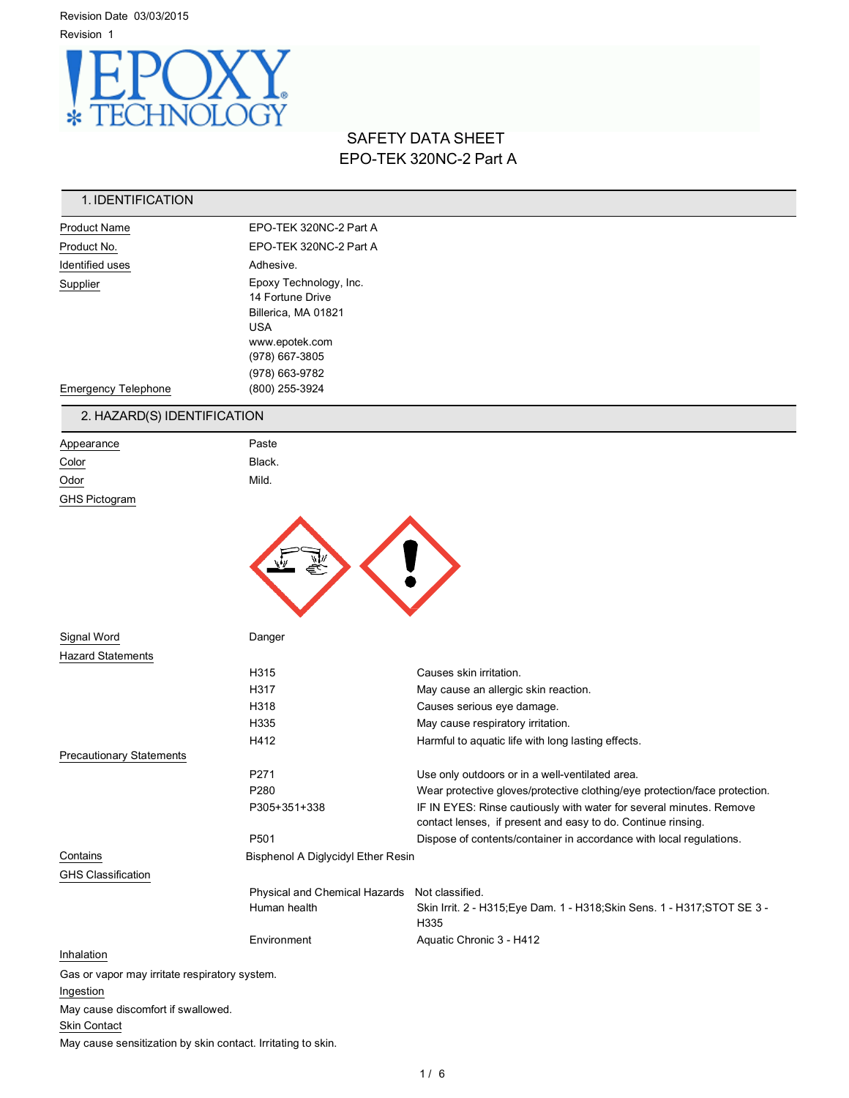Revision Date 03/03/2015 Revision 1



# SAFETY DATA SHEET EPO-TEK 320NC-2 Part A

## 1. IDENTIFICATION

| <b>Product Name</b>        | EPO-TEK 320NC-2 Part A                                                                                                                |  |
|----------------------------|---------------------------------------------------------------------------------------------------------------------------------------|--|
| Product No.                | EPO-TEK 320NC-2 Part A                                                                                                                |  |
| Identified uses            | Adhesive.                                                                                                                             |  |
| Supplier                   | Epoxy Technology, Inc.<br>14 Fortune Drive<br>Billerica, MA 01821<br><b>USA</b><br>www.epotek.com<br>(978) 667-3805<br>(978) 663-9782 |  |
| <b>Emergency Telephone</b> | (800) 255-3924                                                                                                                        |  |

# 2. HAZARD(S) IDENTIFICATION

| Appearance           | Paste  |
|----------------------|--------|
| <u>Color</u>         | Black. |
| Odor                 | Mild.  |
| <b>GHS Pictogram</b> |        |
|                      |        |



| Signal Word                                   | Danger                             |                                                                                                                                     |
|-----------------------------------------------|------------------------------------|-------------------------------------------------------------------------------------------------------------------------------------|
| <b>Hazard Statements</b>                      |                                    |                                                                                                                                     |
|                                               | H <sub>315</sub>                   | Causes skin irritation.                                                                                                             |
|                                               | H317                               | May cause an allergic skin reaction.                                                                                                |
|                                               | H318                               | Causes serious eye damage.                                                                                                          |
|                                               | H335                               | May cause respiratory irritation.                                                                                                   |
|                                               | H412                               | Harmful to aquatic life with long lasting effects.                                                                                  |
| <b>Precautionary Statements</b>               |                                    |                                                                                                                                     |
|                                               | P <sub>271</sub>                   | Use only outdoors or in a well-ventilated area.                                                                                     |
|                                               | P280                               | Wear protective gloves/protective clothing/eye protection/face protection.                                                          |
|                                               | P305+351+338                       | IF IN EYES: Rinse cautiously with water for several minutes. Remove<br>contact lenses, if present and easy to do. Continue rinsing. |
|                                               | P501                               | Dispose of contents/container in accordance with local regulations.                                                                 |
| Contains                                      | Bisphenol A Diglycidyl Ether Resin |                                                                                                                                     |
| <b>GHS Classification</b>                     |                                    |                                                                                                                                     |
|                                               | Physical and Chemical Hazards      | Not classified.                                                                                                                     |
|                                               | Human health                       | Skin Irrit. 2 - H315; Eye Dam. 1 - H318; Skin Sens. 1 - H317; STOT SE 3 -<br>H335                                                   |
|                                               | Environment                        | Aquatic Chronic 3 - H412                                                                                                            |
| Inhalation                                    |                                    |                                                                                                                                     |
| Gas or vapor may irritate respiratory system. |                                    |                                                                                                                                     |
| Ingestion                                     |                                    |                                                                                                                                     |
| May cause discomfort if swallowed.            |                                    |                                                                                                                                     |
| Skin Contact                                  |                                    |                                                                                                                                     |

May cause sensitization by skin contact. Irritating to skin.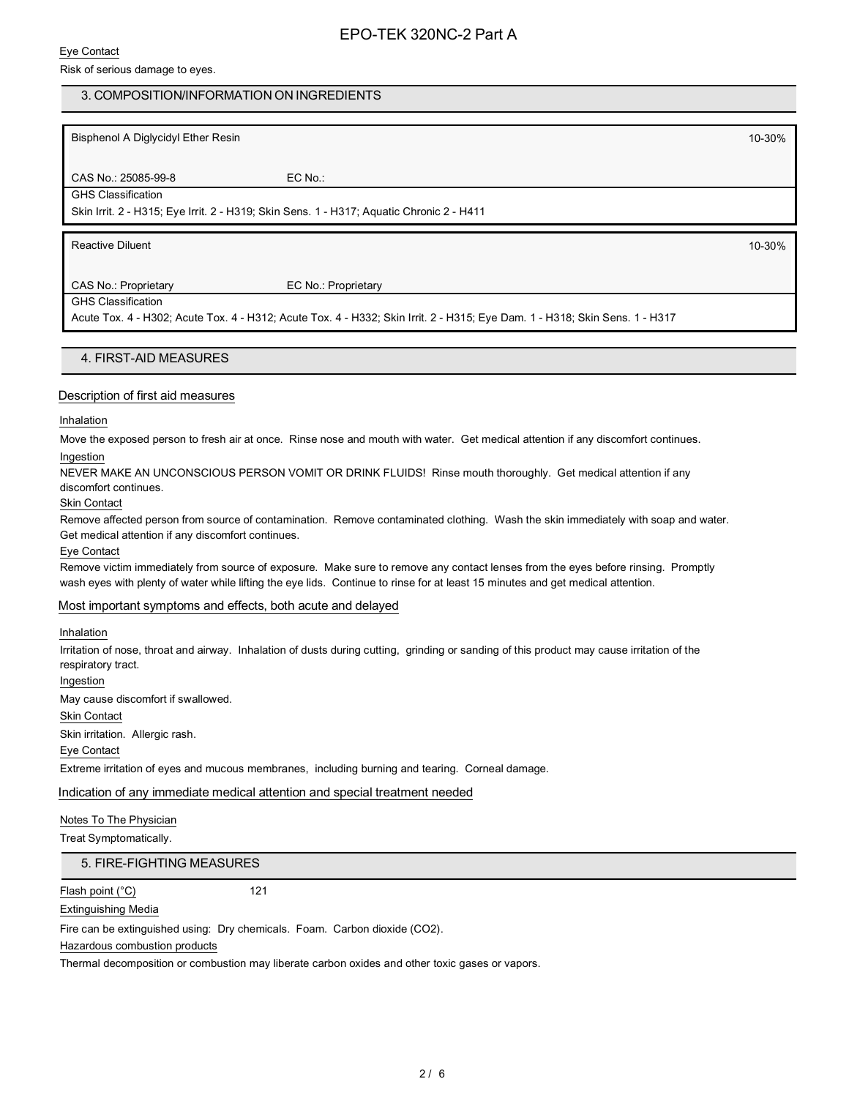#### Eye Contact

Risk of serious damage to eyes.

## 3. COMPOSITION/INFORMATION ON INGREDIENTS

Bisphenol A Diglycidyl Ether Resin 10-30%

CAS No.: 25085-99-8 EC No.: GHS Classification

Skin Irrit. 2 - H315; Eye Irrit. 2 - H319; Skin Sens. 1 - H317; Aquatic Chronic 2 - H411

Reactive Diluent 10-30%

CAS No.: Proprietary EC No.: Proprietary

GHS Classification

Acute Tox. 4 - H302; Acute Tox. 4 - H312; Acute Tox. 4 - H332; Skin Irrit. 2 - H315; Eye Dam. 1 - H318; Skin Sens. 1 - H317

4. FIRST-AID MEASURES

#### Description of first aid measures

#### Inhalation

Move the exposed person to fresh air at once. Rinse nose and mouth with water. Get medical attention if any discomfort continues. Ingestion

NEVER MAKE AN UNCONSCIOUS PERSON VOMIT OR DRINK FLUIDS! Rinse mouth thoroughly. Get medical attention if any discomfort continues.

### Skin Contact

Remove affected person from source of contamination. Remove contaminated clothing. Wash the skin immediately with soap and water. Get medical attention if any discomfort continues.

Eye Contact

Remove victim immediately from source of exposure. Make sure to remove any contact lenses from the eyes before rinsing. Promptly wash eyes with plenty of water while lifting the eye lids. Continue to rinse for at least 15 minutes and get medical attention.

## Most important symptoms and effects, both acute and delayed

#### Inhalation

Irritation of nose, throat and airway. Inhalation of dusts during cutting, grinding or sanding of this product may cause irritation of the respiratory tract.

Ingestion

May cause discomfort if swallowed.

Skin Contact

Skin irritation. Allergic rash.

Eye Contact

Extreme irritation of eyes and mucous membranes, including burning and tearing. Corneal damage.

Indication of any immediate medical attention and special treatment needed

Notes To The Physician

Treat Symptomatically.

5. FIRE-FIGHTING MEASURES

Flash point (°C) 121

Extinguishing Media

Fire can be extinguished using: Dry chemicals. Foam. Carbon dioxide (CO2).

Hazardous combustion products

Thermal decomposition or combustion may liberate carbon oxides and other toxic gases or vapors.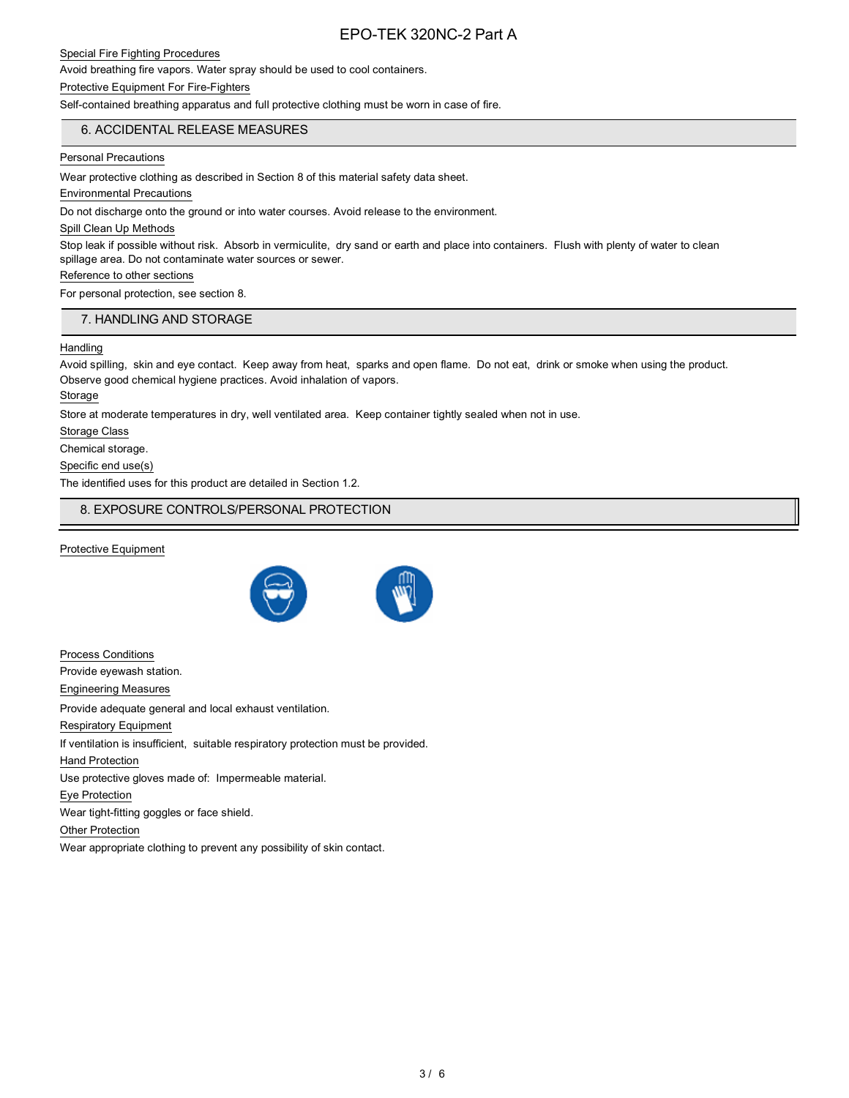#### Special Fire Fighting Procedures

Avoid breathing fire vapors. Water spray should be used to cool containers.

#### Protective Equipment For Fire-Fighters

Self-contained breathing apparatus and full protective clothing must be worn in case of fire.

## 6. ACCIDENTAL RELEASE MEASURES

#### Personal Precautions

Wear protective clothing as described in Section 8 of this material safety data sheet.

#### Environmental Precautions

Do not discharge onto the ground or into water courses. Avoid release to the environment.

#### Spill Clean Up Methods

Stop leak if possible without risk. Absorb in vermiculite, dry sand or earth and place into containers. Flush with plenty of water to clean spillage area. Do not contaminate water sources or sewer.

#### Reference to other sections

For personal protection, see section 8.

## 7. HANDLING AND STORAGE

#### **Handling**

Avoid spilling, skin and eye contact. Keep away from heat, sparks and open flame. Do not eat, drink or smoke when using the product. Observe good chemical hygiene practices. Avoid inhalation of vapors.

Storage

Store at moderate temperatures in dry, well ventilated area. Keep container tightly sealed when not in use.

Storage Class

Chemical storage.

Specific end use(s)

The identified uses for this product are detailed in Section 1.2.

## 8. EXPOSURE CONTROLS/PERSONAL PROTECTION

#### Protective Equipment





Process Conditions Provide eyewash station. Engineering Measures Provide adequate general and local exhaust ventilation. Respiratory Equipment If ventilation is insufficient, suitable respiratory protection must be provided. Hand Protection Use protective gloves made of: Impermeable material. Eye Protection Wear tight-fitting goggles or face shield. Other Protection Wear appropriate clothing to prevent any possibility of skin contact.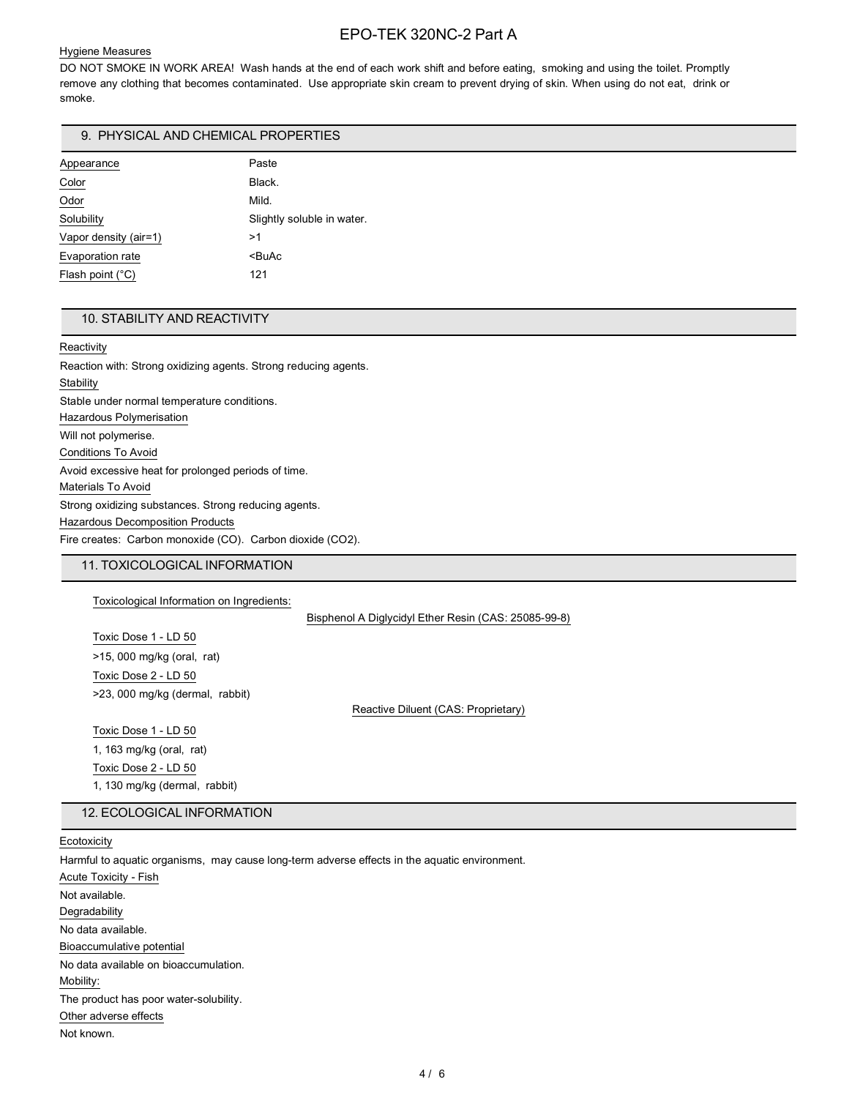#### Hygiene Measures

DO NOT SMOKE IN WORK AREA! Wash hands at the end of each work shift and before eating, smoking and using the toilet. Promptly remove any clothing that becomes contaminated. Use appropriate skin cream to prevent drying of skin. When using do not eat, drink or smoke.

## 9. PHYSICAL AND CHEMICAL PROPERTIES

| Appearance            | Paste                      |
|-----------------------|----------------------------|
| Color                 | Black.                     |
| Odor                  | Mild.                      |
| Solubility            | Slightly soluble in water. |
| Vapor density (air=1) | >1                         |
| Evaporation rate      | $BuAc$                     |
| Flash point (°C)      | 121                        |

## 10. STABILITY AND REACTIVITY

**Reactivity** 

Reaction with: Strong oxidizing agents. Strong reducing agents. **Stability** Stable under normal temperature conditions. Hazardous Polymerisation Will not polymerise. Conditions To Avoid Avoid excessive heat for prolonged periods of time. Materials To Avoid Strong oxidizing substances. Strong reducing agents. Hazardous Decomposition Products Fire creates: Carbon monoxide (CO). Carbon dioxide (CO2).

## 11. TOXICOLOGICAL INFORMATION

Toxicological Information on Ingredients:

Bisphenol A Diglycidyl Ether Resin (CAS: 25085-99-8)

Toxic Dose 1 - LD 50 >15, 000 mg/kg (oral, rat) Toxic Dose 2 - LD 50 >23, 000 mg/kg (dermal, rabbit)

Reactive Diluent (CAS: Proprietary)

Toxic Dose 1 - LD 50 1, 163 mg/kg (oral, rat) Toxic Dose 2 - LD 50 1, 130 mg/kg (dermal, rabbit)

#### 12. ECOLOGICAL INFORMATION

**Ecotoxicity** 

Harmful to aquatic organisms, may cause long-term adverse effects in the aquatic environment. Acute Toxicity - Fish Not available. Degradability No data available. Bioaccumulative potential No data available on bioaccumulation. Mobility: The product has poor water-solubility. Other adverse effects Not known.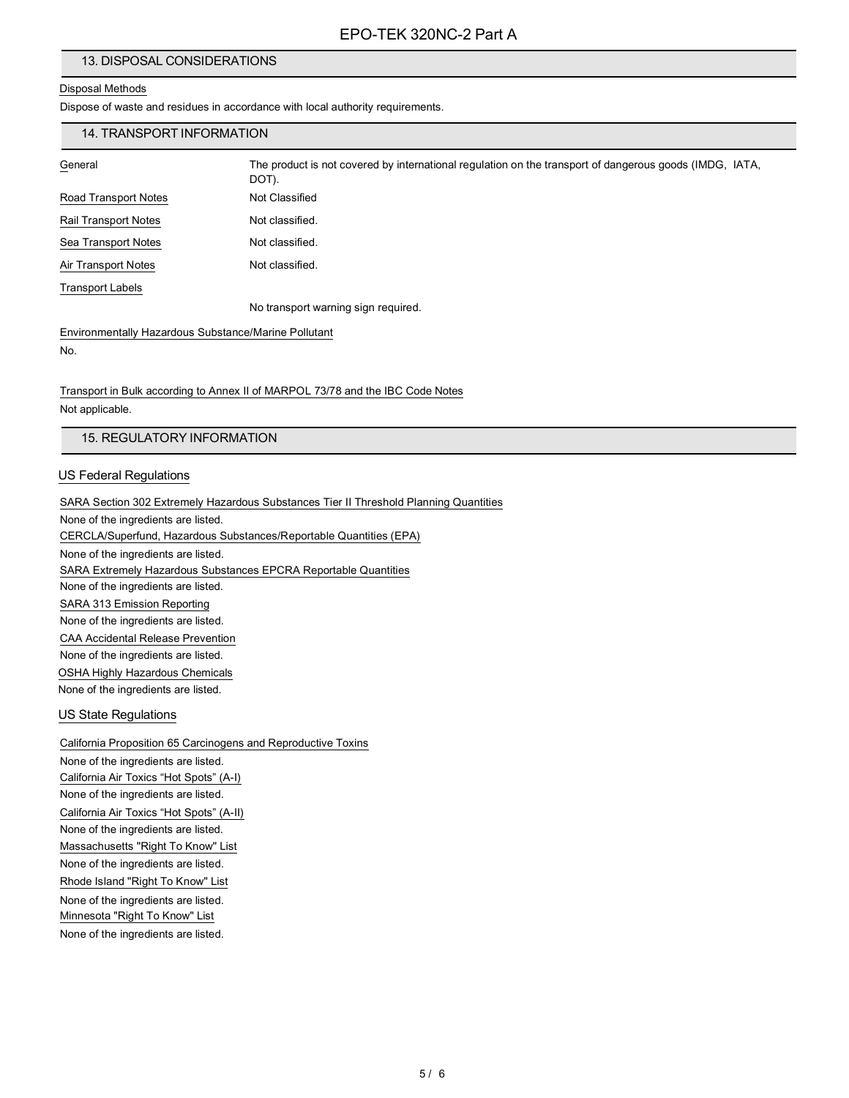## 13. DISPOSAL CONSIDERATIONS

### Disposal Methods

Dispose of waste and residues in accordance with local authority requirements.

## 14. TRANSPORT INFORMATION

| ı<br>ופו<br>eΓ |
|----------------|
|                |

The product is not covered by international regulation on the transport of dangerous goods (IMDG, IATA, DOT). Road Transport Notes Not Classified Rail Transport Notes Not classified. Sea Transport Notes Not classified.

Air Transport Notes Not classified.

Transport Labels

No transport warning sign required.

Environmentally Hazardous Substance/Marine Pollutant No.

Transport in Bulk according to Annex II of MARPOL 73/78 and the IBC Code Notes Not applicable.

#### 15. REGULATORY INFORMATION

#### US Federal Regulations

SARA Section 302 Extremely Hazardous Substances Tier II Threshold Planning Quantities None of the ingredients are listed. CERCLA/Superfund, Hazardous Substances/Reportable Quantities (EPA) None of the ingredients are listed. SARA Extremely Hazardous Substances EPCRA Reportable Quantities None of the ingredients are listed. SARA 313 Emission Reporting None of the ingredients are listed. CAA Accidental Release Prevention None of the ingredients are listed. OSHA Highly Hazardous Chemicals None of the ingredients are listed.

### US State Regulations

California Proposition 65 Carcinogens and Reproductive Toxins None of the ingredients are listed.

California Air Toxics "Hot Spots" (A-I) None of the ingredients are listed. California Air Toxics "Hot Spots" (A-II) None of the ingredients are listed. Massachusetts "Right To Know" List None of the ingredients are listed. Rhode Island "Right To Know" List None of the ingredients are listed. Minnesota "Right To Know" List None of the ingredients are listed.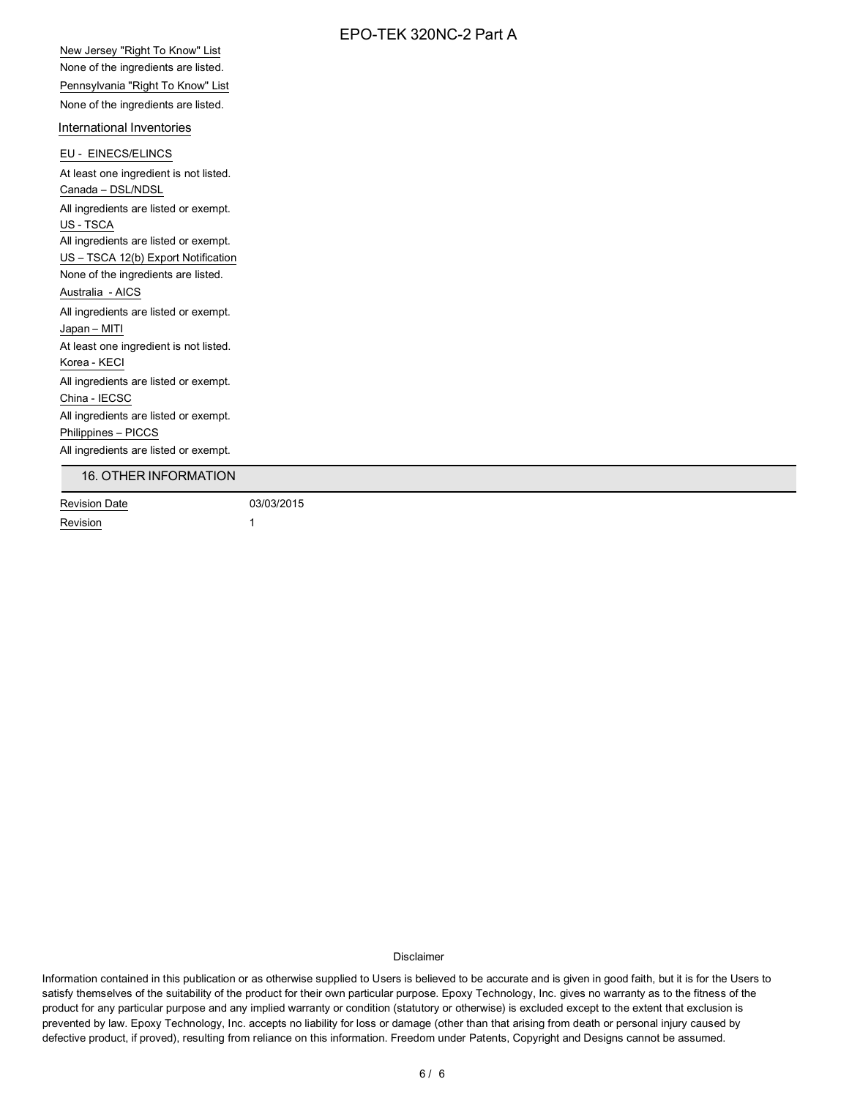New Jersey "Right To Know" List None of the ingredients are listed. Pennsylvania "Right To Know" List None of the ingredients are listed.

#### International Inventories

EU - EINECS/ELINCS At least one ingredient is not listed. Canada – DSL/NDSL All ingredients are listed or exempt. US - TSCA All ingredients are listed or exempt. US – TSCA 12(b) Export Notification None of the ingredients are listed. Australia - AICS All ingredients are listed or exempt. Japan – MITI At least one ingredient is not listed. Korea - KECI All ingredients are listed or exempt. China - IECSC All ingredients are listed or exempt. Philippines – PICCS All ingredients are listed or exempt. Revision Date 03/03/2015 16. OTHER INFORMATION

Revision 1

Disclaimer

Information contained in this publication or as otherwise supplied to Users is believed to be accurate and is given in good faith, but it is for the Users to satisfy themselves of the suitability of the product for their own particular purpose. Epoxy Technology, Inc. gives no warranty as to the fitness of the product for any particular purpose and any implied warranty or condition (statutory or otherwise) is excluded except to the extent that exclusion is prevented by law. Epoxy Technology, Inc. accepts no liability for loss or damage (other than that arising from death or personal injury caused by defective product, if proved), resulting from reliance on this information. Freedom under Patents, Copyright and Designs cannot be assumed.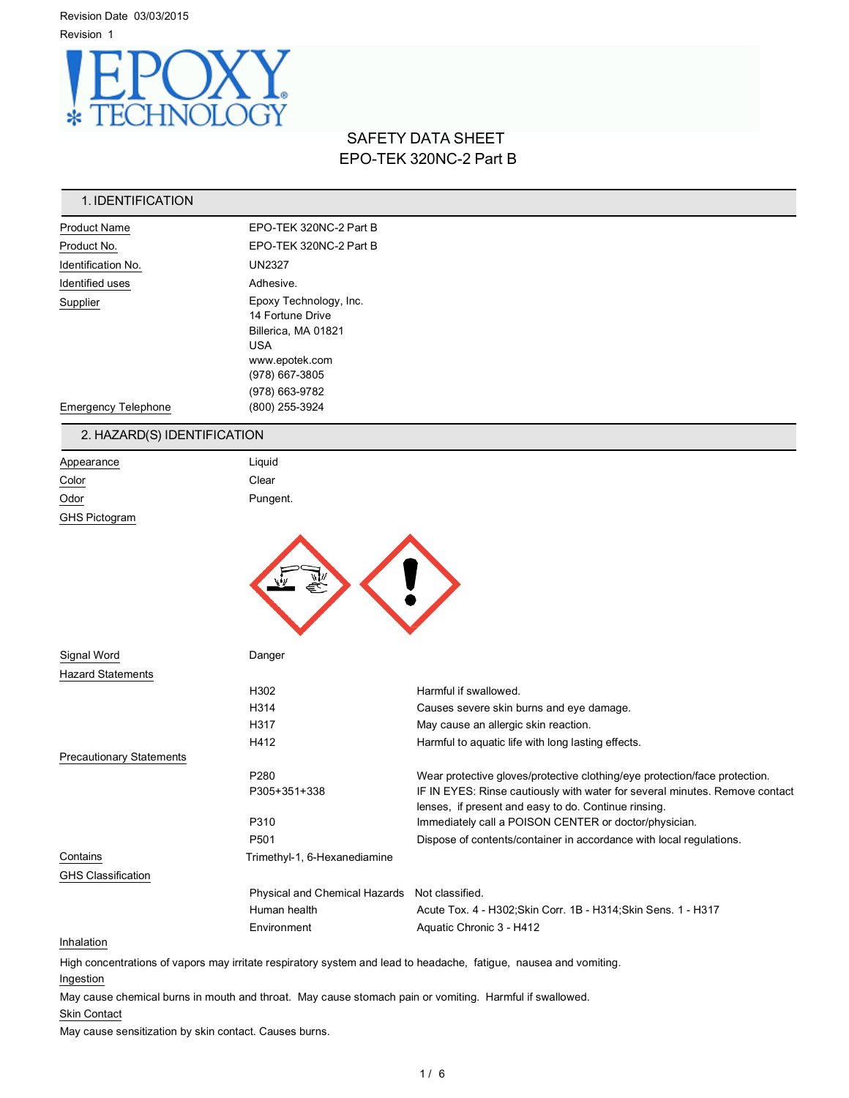Revision Date 03/03/2015 Revision 1



# SAFETY DATA SHEET EPO-TEK 320NC-2 Part B

| 1. IDENTIFICATION           |                                                                                                                                       |  |
|-----------------------------|---------------------------------------------------------------------------------------------------------------------------------------|--|
| <b>Product Name</b>         | EPO-TEK 320NC-2 Part B                                                                                                                |  |
| Product No.                 | EPO-TEK 320NC-2 Part B                                                                                                                |  |
| Identification No.          | <b>UN2327</b>                                                                                                                         |  |
| Identified uses             | Adhesive.                                                                                                                             |  |
| Supplier                    | Epoxy Technology, Inc.<br>14 Fortune Drive<br>Billerica, MA 01821<br><b>USA</b><br>www.epotek.com<br>(978) 667-3805<br>(978) 663-9782 |  |
| <b>Emergency Telephone</b>  | (800) 255-3924                                                                                                                        |  |
| 2. HAZARD(S) IDENTIFICATION |                                                                                                                                       |  |

# Appearance Liquid Color Clear Odor Pungent. GHS Pictogram



| Signal Word              | Danger                               |                                                                                                                                     |
|--------------------------|--------------------------------------|-------------------------------------------------------------------------------------------------------------------------------------|
| Hazard Statements        |                                      |                                                                                                                                     |
|                          | H302                                 | Harmful if swallowed.                                                                                                               |
|                          | H314                                 | Causes severe skin burns and eye damage.                                                                                            |
|                          | H317                                 | May cause an allergic skin reaction.                                                                                                |
|                          | H412                                 | Harmful to aquatic life with long lasting effects.                                                                                  |
| Precautionary Statements |                                      |                                                                                                                                     |
|                          | P <sub>280</sub>                     | Wear protective gloves/protective clothing/eye protection/face protection.                                                          |
|                          | P305+351+338                         | IF IN EYES: Rinse cautiously with water for several minutes. Remove contact<br>lenses, if present and easy to do. Continue rinsing. |
|                          | P310                                 | Immediately call a POISON CENTER or doctor/physician.                                                                               |
|                          | P <sub>501</sub>                     | Dispose of contents/container in accordance with local regulations.                                                                 |
| Contains                 | Trimethyl-1, 6-Hexanediamine         |                                                                                                                                     |
| GHS Classification       |                                      |                                                                                                                                     |
|                          | <b>Physical and Chemical Hazards</b> | Not classified.                                                                                                                     |
|                          | Human health                         | Acute Tox. 4 - H302; Skin Corr. 1B - H314; Skin Sens. 1 - H317                                                                      |
|                          | Environment                          | Aquatic Chronic 3 - H412                                                                                                            |
| .                        |                                      |                                                                                                                                     |

#### **Inhalation**

High concentrations of vapors may irritate respiratory system and lead to headache, fatigue, nausea and vomiting. Ingestion

May cause chemical burns in mouth and throat. May cause stomach pain or vomiting. Harmful if swallowed.

#### Skin Contact

May cause sensitization by skin contact. Causes burns.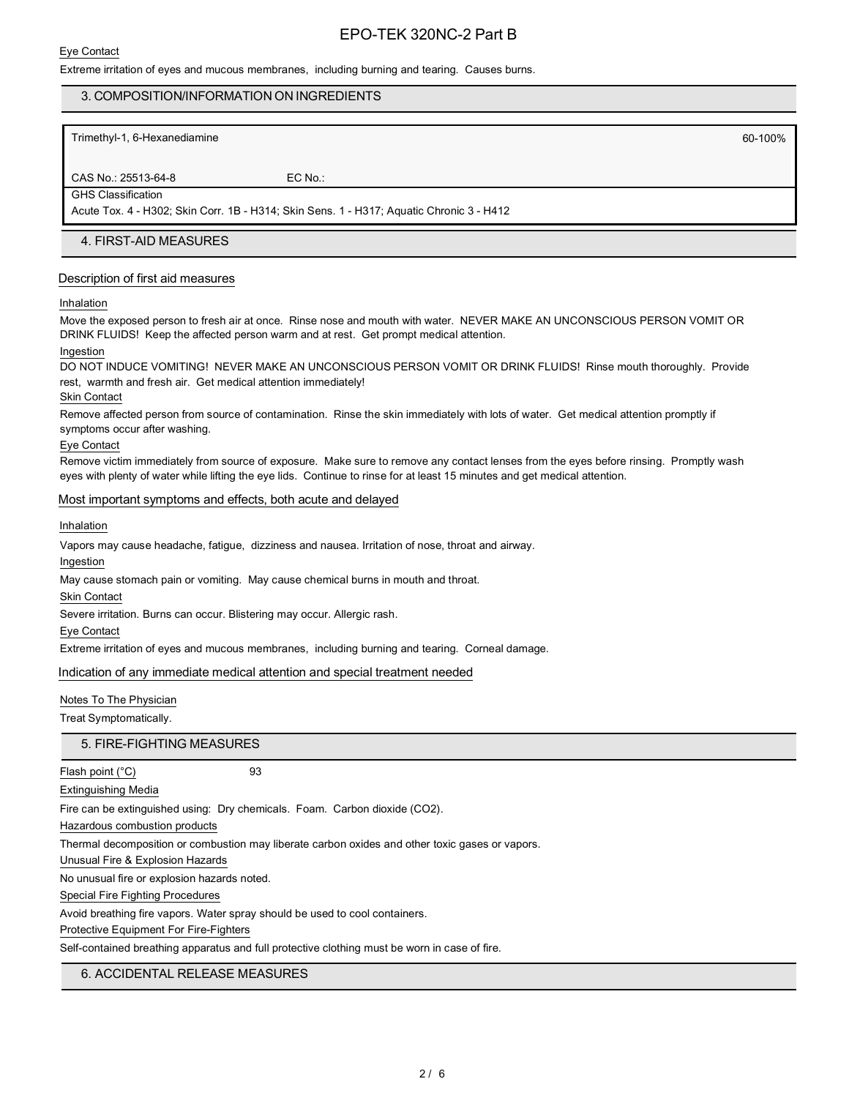#### Extreme irritation of eyes and mucous membranes, including burning and tearing. Causes burns.

### 3. COMPOSITION/INFORMATION ON INGREDIENTS

Trimethyl-1, 6-Hexanediamine 60-100% and the state of the state of the state of the state of the state of the state of the state of the state of the state of the state of the state of the state of the state of the state of

#### CAS No.: 25513-64-8 EC No.: GHS Classification

Acute Tox. 4 - H302; Skin Corr. 1B - H314; Skin Sens. 1 - H317; Aquatic Chronic 3 - H412

#### 4. FIRST-AID MEASURES

#### Description of first aid measures

#### Inhalation

Move the exposed person to fresh air at once. Rinse nose and mouth with water. NEVER MAKE AN UNCONSCIOUS PERSON VOMIT OR DRINK FLUIDS! Keep the affected person warm and at rest. Get prompt medical attention.

#### Ingestion

DO NOT INDUCE VOMITING! NEVER MAKE AN UNCONSCIOUS PERSON VOMIT OR DRINK FLUIDS! Rinse mouth thoroughly. Provide rest, warmth and fresh air. Get medical attention immediately!

#### Skin Contact

Remove affected person from source of contamination. Rinse the skin immediately with lots of water. Get medical attention promptly if symptoms occur after washing.

#### Eye Contact

Remove victim immediately from source of exposure. Make sure to remove any contact lenses from the eyes before rinsing. Promptly wash eyes with plenty of water while lifting the eye lids. Continue to rinse for at least 15 minutes and get medical attention.

#### Most important symptoms and effects, both acute and delayed

Inhalation

Vapors may cause headache, fatigue, dizziness and nausea. Irritation of nose, throat and airway.

Ingestion

May cause stomach pain or vomiting. May cause chemical burns in mouth and throat.

Skin Contact

Severe irritation. Burns can occur. Blistering may occur. Allergic rash.

Eye Contact

Extreme irritation of eyes and mucous membranes, including burning and tearing. Corneal damage.

#### Indication of any immediate medical attention and special treatment needed

#### Notes To The Physician

Treat Symptomatically.

#### 5. FIRE-FIGHTING MEASURES

Flash point (°C) 93 Extinguishing Media

Fire can be extinguished using: Dry chemicals. Foam. Carbon dioxide (CO2).

Hazardous combustion products

Thermal decomposition or combustion may liberate carbon oxides and other toxic gases or vapors.

Unusual Fire & Explosion Hazards

No unusual fire or explosion hazards noted.

Special Fire Fighting Procedures

Avoid breathing fire vapors. Water spray should be used to cool containers.

## Protective Equipment For Fire-Fighters

Self-contained breathing apparatus and full protective clothing must be worn in case of fire.

## 6. ACCIDENTAL RELEASE MEASURES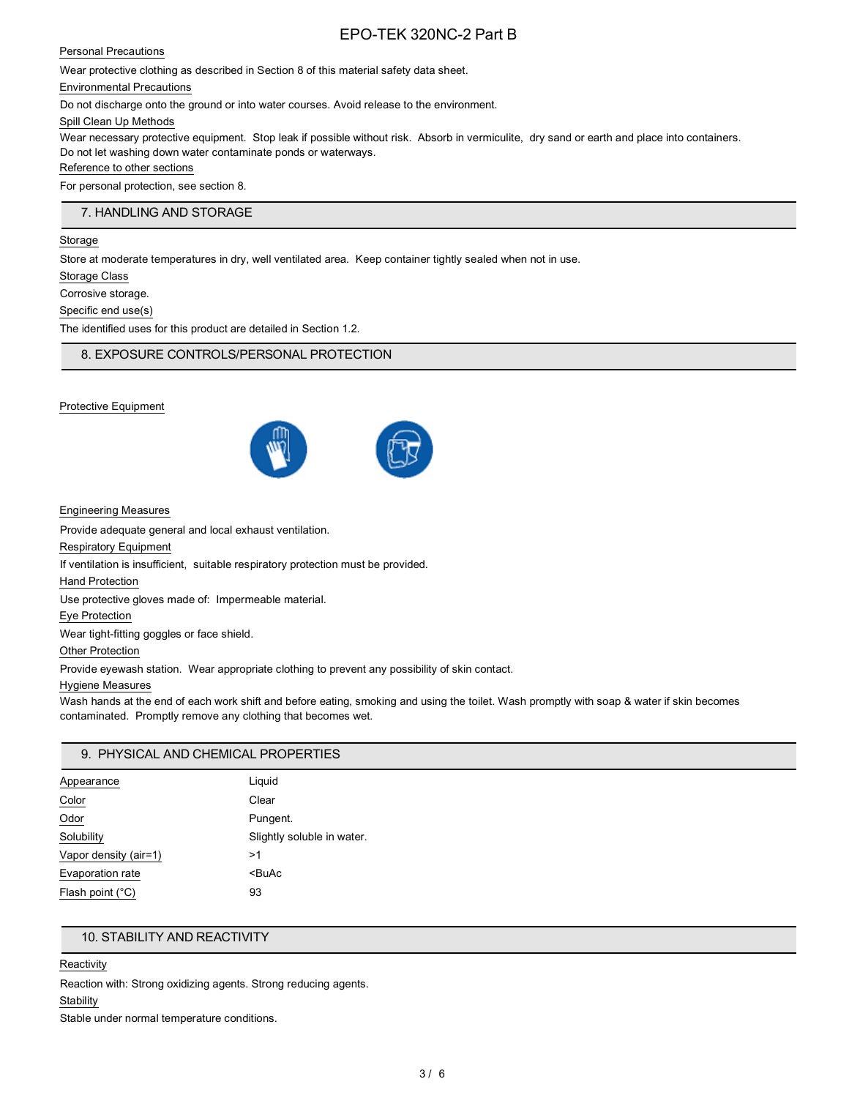### Personal Precautions

Wear protective clothing as described in Section 8 of this material safety data sheet.

Environmental Precautions

Do not discharge onto the ground or into water courses. Avoid release to the environment.

Spill Clean Up Methods

Wear necessary protective equipment. Stop leak if possible without risk. Absorb in vermiculite, dry sand or earth and place into containers. Do not let washing down water contaminate ponds or waterways.

#### Reference to other sections

For personal protection, see section 8.

## 7. HANDLING AND STORAGE

#### Storage

Store at moderate temperatures in dry, well ventilated area. Keep container tightly sealed when not in use.

Storage Class

Corrosive storage.

Specific end use(s)

The identified uses for this product are detailed in Section 1.2.

8. EXPOSURE CONTROLS/PERSONAL PROTECTION

#### Protective Equipment



Engineering Measures

Provide adequate general and local exhaust ventilation.

Respiratory Equipment

If ventilation is insufficient, suitable respiratory protection must be provided.

Hand Protection

Use protective gloves made of: Impermeable material.

Eye Protection

Wear tight-fitting goggles or face shield.

Other Protection

Provide eyewash station. Wear appropriate clothing to prevent any possibility of skin contact.

#### Hygiene Measures

Wash hands at the end of each work shift and before eating, smoking and using the toilet. Wash promptly with soap & water if skin becomes contaminated. Promptly remove any clothing that becomes wet.

## 9. PHYSICAL AND CHEMICAL PROPERTIES

| Appearance            | Liquid                     |
|-----------------------|----------------------------|
| Color                 | Clear                      |
| Odor                  | Pungent.                   |
| Solubility            | Slightly soluble in water. |
| Vapor density (air=1) | >1                         |
| Evaporation rate      | <buac< td=""></buac<>      |
| Flash point (°C)      | 93                         |

## 10. STABILITY AND REACTIVITY

#### **Reactivity**

Reaction with: Strong oxidizing agents. Strong reducing agents.

## **Stability**

Stable under normal temperature conditions.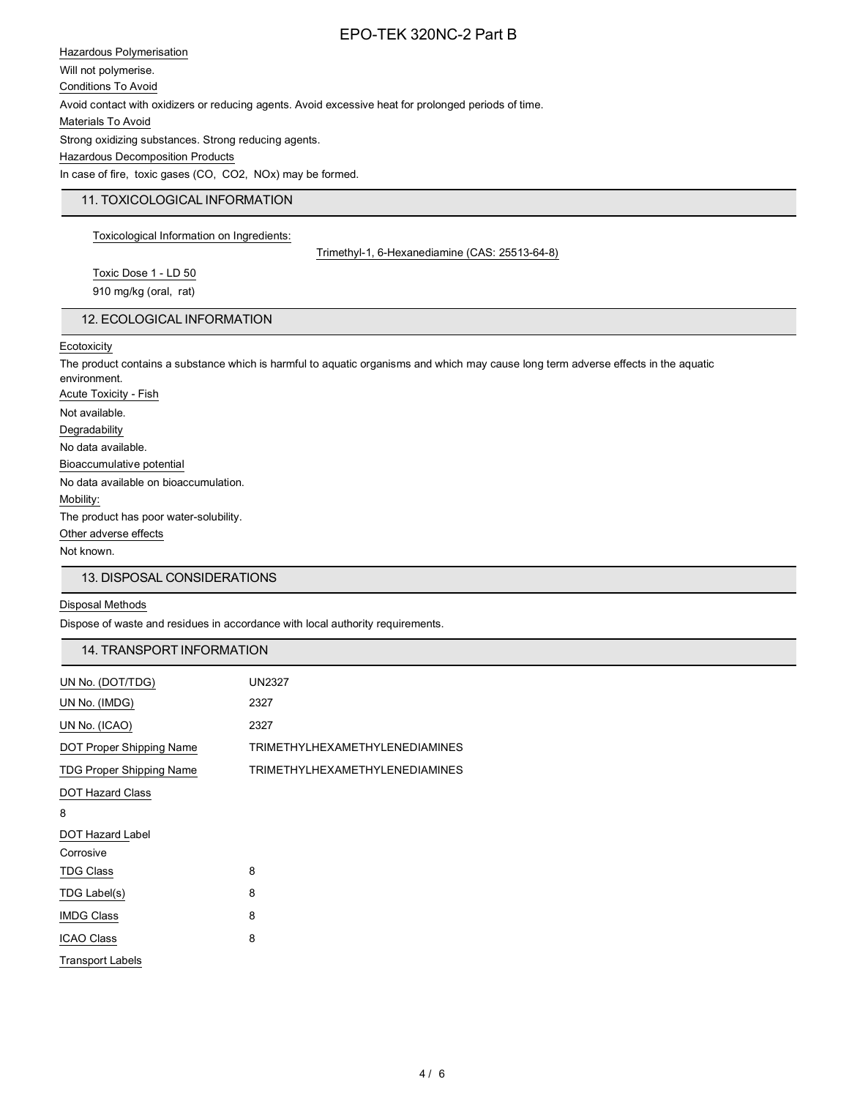Hazardous Polymerisation Will not polymerise. Conditions To Avoid Avoid contact with oxidizers or reducing agents. Avoid excessive heat for prolonged periods of time. Materials To Avoid Strong oxidizing substances. Strong reducing agents. Hazardous Decomposition Products In case of fire, toxic gases (CO, CO2, NOx) may be formed.

## 11. TOXICOLOGICAL INFORMATION

Toxicological Information on Ingredients:

Trimethyl-1, 6-Hexanediamine (CAS: 25513-64-8)

Toxic Dose 1 - LD 50 910 mg/kg (oral, rat)

## 12. ECOLOGICAL INFORMATION

**Ecotoxicity** 

The product contains a substance which is harmful to aquatic organisms and which may cause long term adverse effects in the aquatic environment. Acute Toxicity - Fish Not available. Degradability No data available. Bioaccumulative potential No data available on bioaccumulation. Mobility: The product has poor water-solubility. Other adverse effects Not known.

## 13. DISPOSAL CONSIDERATIONS

#### Disposal Methods

Dispose of waste and residues in accordance with local authority requirements.

## 14. TRANSPORT INFORMATION

| UN No. (DOT/TDG)                | <b>UN2327</b>                         |
|---------------------------------|---------------------------------------|
| UN No. (IMDG)                   | 2327                                  |
| UN No. (ICAO)                   | 2327                                  |
| DOT Proper Shipping Name        | <b>TRIMETHYLHEXAMETHYLENEDIAMINES</b> |
| <b>TDG Proper Shipping Name</b> | <b>TRIMETHYLHEXAMETHYLENEDIAMINES</b> |
| <b>DOT Hazard Class</b>         |                                       |
| 8                               |                                       |
| <b>DOT Hazard Label</b>         |                                       |
| Corrosive                       |                                       |
| <b>TDG Class</b>                | 8                                     |
| TDG Label(s)                    | 8                                     |
| <b>IMDG Class</b>               | 8                                     |
| <b>ICAO Class</b>               | 8                                     |
| <b>Transport Labels</b>         |                                       |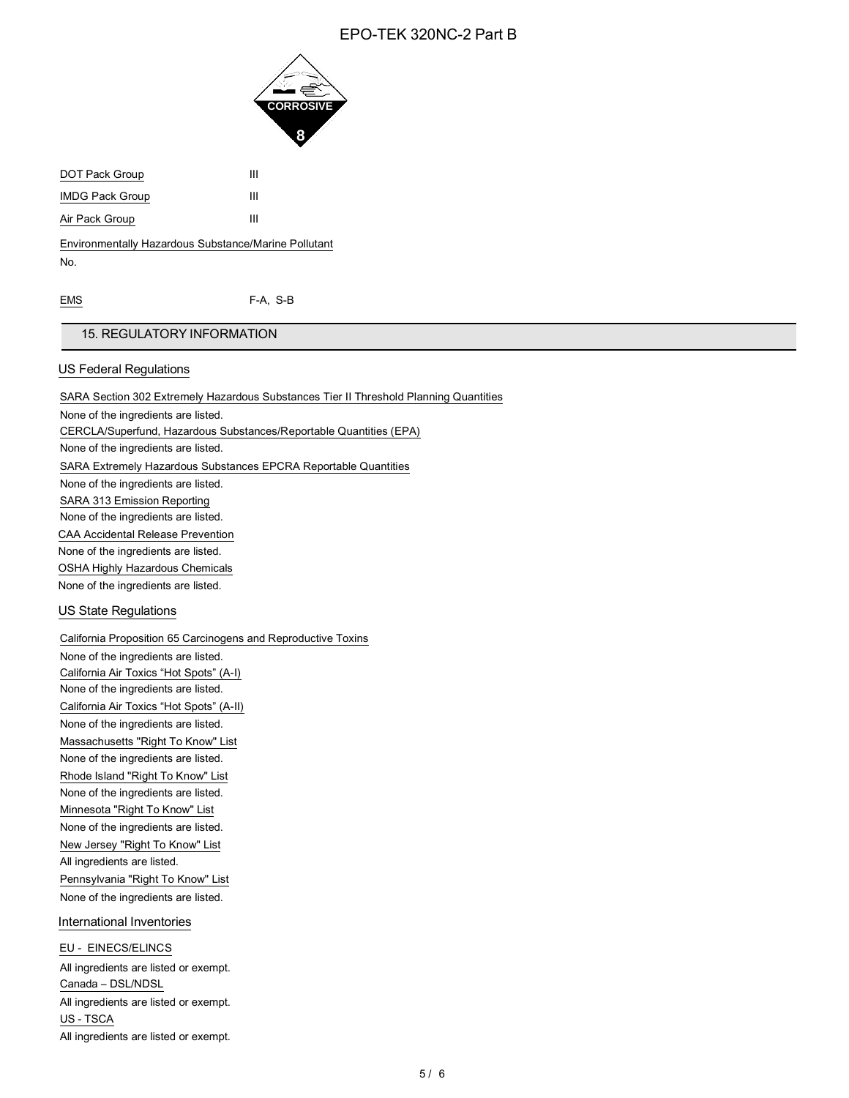

DOT Pack Group III IMDG Pack Group III Air Pack Group III

Environmentally Hazardous Substance/Marine Pollutant No.

EMS F-A, S-B

## 15. REGULATORY INFORMATION

## US Federal Regulations

SARA Section 302 Extremely Hazardous Substances Tier II Threshold Planning Quantities None of the ingredients are listed. CERCLA/Superfund, Hazardous Substances/Reportable Quantities (EPA) None of the ingredients are listed. SARA Extremely Hazardous Substances EPCRA Reportable Quantities None of the ingredients are listed. SARA 313 Emission Reporting None of the ingredients are listed. CAA Accidental Release Prevention None of the ingredients are listed. OSHA Highly Hazardous Chemicals None of the ingredients are listed.

## US State Regulations

California Proposition 65 Carcinogens and Reproductive Toxins

None of the ingredients are listed. California Air Toxics "Hot Spots" (A-I) None of the ingredients are listed. California Air Toxics "Hot Spots" (A-II) None of the ingredients are listed. Massachusetts "Right To Know" List None of the ingredients are listed. Rhode Island "Right To Know" List None of the ingredients are listed. Minnesota "Right To Know" List None of the ingredients are listed. New Jersey "Right To Know" List All ingredients are listed. Pennsylvania "Right To Know" List None of the ingredients are listed.

## International Inventories

EU - EINECS/ELINCS All ingredients are listed or exempt. Canada – DSL/NDSL All ingredients are listed or exempt. US - TSCA All ingredients are listed or exempt.